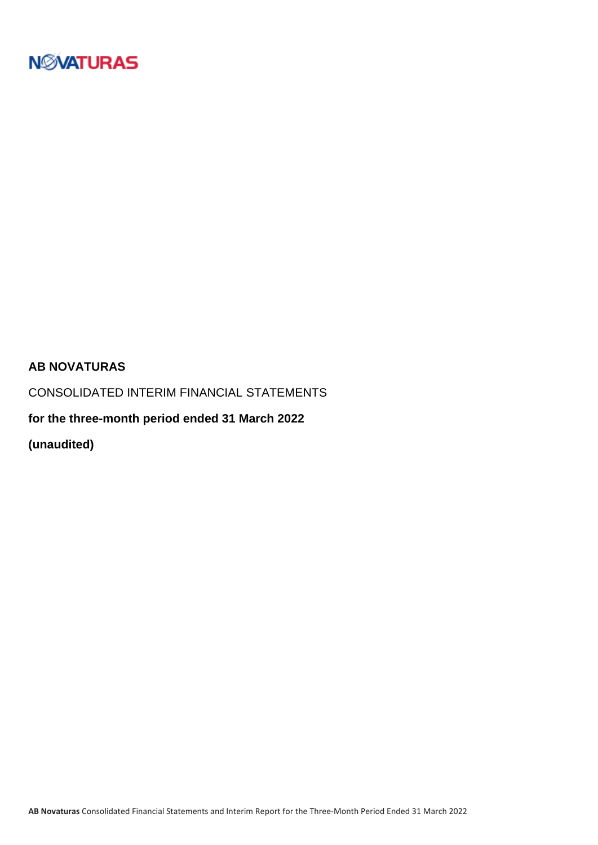

### **AB NOVATURAS**

CONSOLIDATED INTERIM FINANCIAL STATEMENTS

**for the three-month period ended 31 March 2022**

**(unaudited)**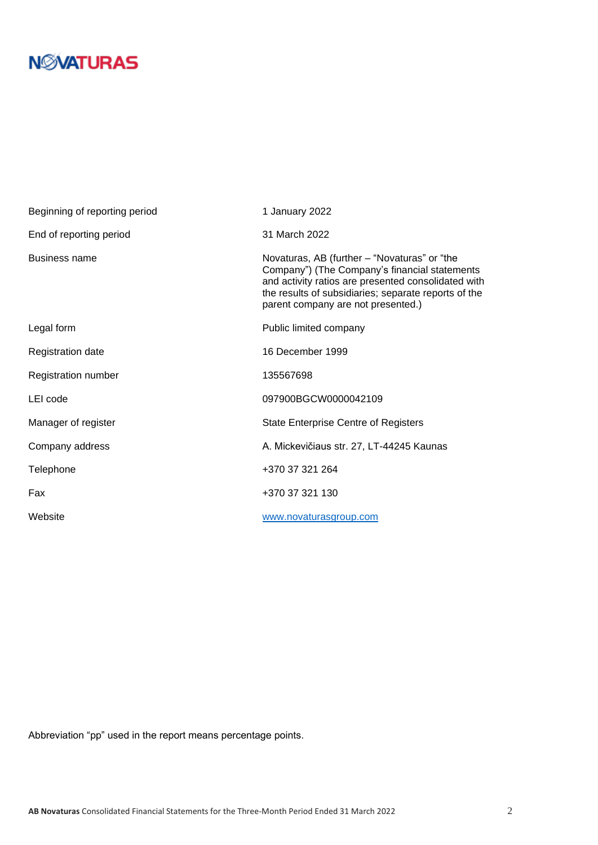| Beginning of reporting period | 1 January 2022                                                                                                                                                                                                                                     |
|-------------------------------|----------------------------------------------------------------------------------------------------------------------------------------------------------------------------------------------------------------------------------------------------|
| End of reporting period       | 31 March 2022                                                                                                                                                                                                                                      |
| <b>Business name</b>          | Novaturas, AB (further – "Novaturas" or "the<br>Company") (The Company's financial statements<br>and activity ratios are presented consolidated with<br>the results of subsidiaries; separate reports of the<br>parent company are not presented.) |
| Legal form                    | Public limited company                                                                                                                                                                                                                             |
| Registration date             | 16 December 1999                                                                                                                                                                                                                                   |
| Registration number           | 135567698                                                                                                                                                                                                                                          |
| LEI code                      | 097900BGCW0000042109                                                                                                                                                                                                                               |
| Manager of register           | <b>State Enterprise Centre of Registers</b>                                                                                                                                                                                                        |
| Company address               | A. Mickevičiaus str. 27, LT-44245 Kaunas                                                                                                                                                                                                           |
| Telephone                     | +370 37 321 264                                                                                                                                                                                                                                    |
| Fax                           | +370 37 321 130                                                                                                                                                                                                                                    |
| Website                       | www.novaturasgroup.com                                                                                                                                                                                                                             |

Abbreviation "pp" used in the report means percentage points.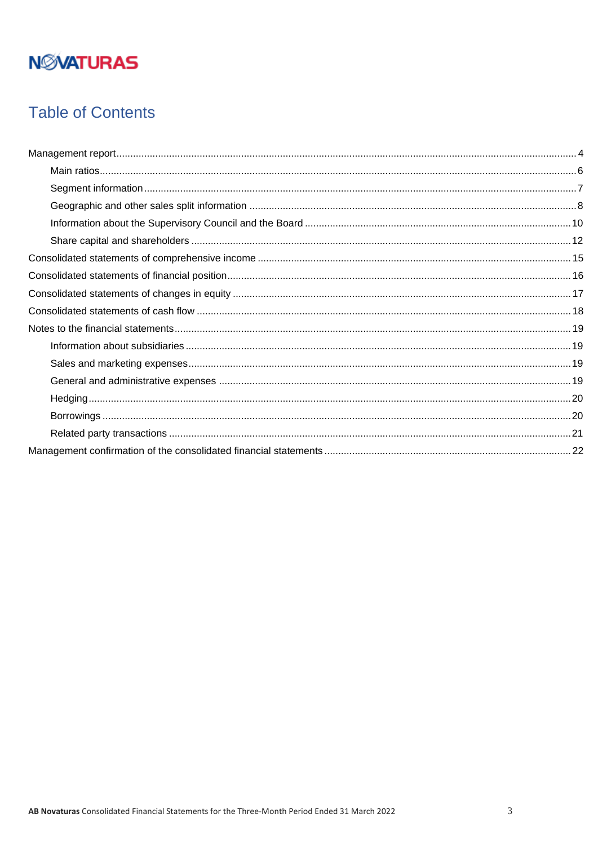## **Table of Contents**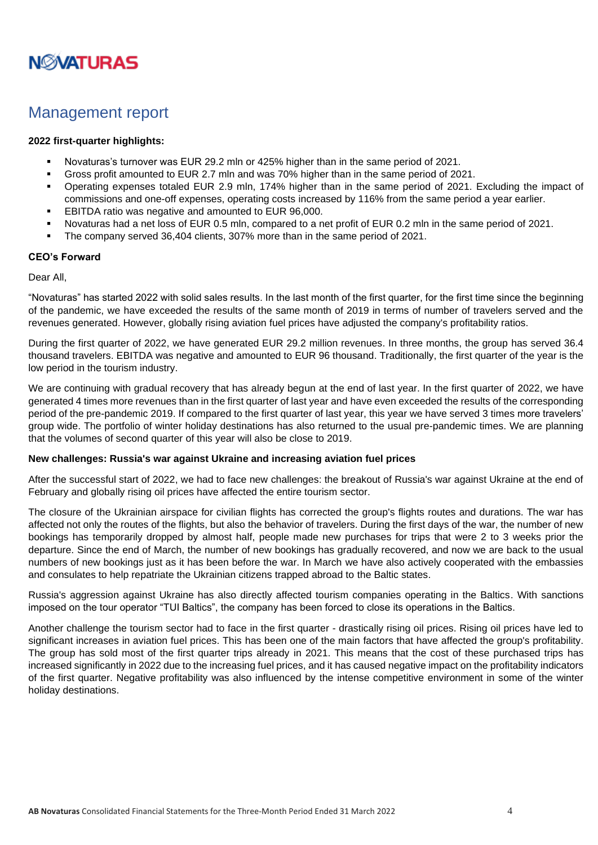

## <span id="page-3-0"></span>Management report

### **2022 first-quarter highlights:**

- Novaturas's turnover was EUR 29.2 mln or 425% higher than in the same period of 2021.
- Gross profit amounted to EUR 2.7 mln and was 70% higher than in the same period of 2021.
- Operating expenses totaled EUR 2.9 mln, 174% higher than in the same period of 2021. Excluding the impact of commissions and one-off expenses, operating costs increased by 116% from the same period a year earlier.
- EBITDA ratio was negative and amounted to EUR 96,000.
- Novaturas had a net loss of EUR 0.5 mln, compared to a net profit of EUR 0.2 mln in the same period of 2021.
- The company served 36,404 clients, 307% more than in the same period of 2021.

### **CEO's Forward**

#### Dear All,

"Novaturas" has started 2022 with solid sales results. In the last month of the first quarter, for the first time since the beginning of the pandemic, we have exceeded the results of the same month of 2019 in terms of number of travelers served and the revenues generated. However, globally rising aviation fuel prices have adjusted the company's profitability ratios.

During the first quarter of 2022, we have generated EUR 29.2 million revenues. In three months, the group has served 36.4 thousand travelers. EBITDA was negative and amounted to EUR 96 thousand. Traditionally, the first quarter of the year is the low period in the tourism industry.

We are continuing with gradual recovery that has already begun at the end of last year. In the first quarter of 2022, we have generated 4 times more revenues than in the first quarter of last year and have even exceeded the results of the corresponding period of the pre-pandemic 2019. If compared to the first quarter of last year, this year we have served 3 times more travelers' group wide. The portfolio of winter holiday destinations has also returned to the usual pre-pandemic times. We are planning that the volumes of second quarter of this year will also be close to 2019.

#### **New challenges: Russia's war against Ukraine and increasing aviation fuel prices**

After the successful start of 2022, we had to face new challenges: the breakout of Russia's war against Ukraine at the end of February and globally rising oil prices have affected the entire tourism sector.

The closure of the Ukrainian airspace for civilian flights has corrected the group's flights routes and durations. The war has affected not only the routes of the flights, but also the behavior of travelers. During the first days of the war, the number of new bookings has temporarily dropped by almost half, people made new purchases for trips that were 2 to 3 weeks prior the departure. Since the end of March, the number of new bookings has gradually recovered, and now we are back to the usual numbers of new bookings just as it has been before the war. In March we have also actively cooperated with the embassies and consulates to help repatriate the Ukrainian citizens trapped abroad to the Baltic states.

Russia's aggression against Ukraine has also directly affected tourism companies operating in the Baltics. With sanctions imposed on the tour operator "TUI Baltics", the company has been forced to close its operations in the Baltics.

Another challenge the tourism sector had to face in the first quarter - drastically rising oil prices. Rising oil prices have led to significant increases in aviation fuel prices. This has been one of the main factors that have affected the group's profitability. The group has sold most of the first quarter trips already in 2021. This means that the cost of these purchased trips has increased significantly in 2022 due to the increasing fuel prices, and it has caused negative impact on the profitability indicators of the first quarter. Negative profitability was also influenced by the intense competitive environment in some of the winter holiday destinations.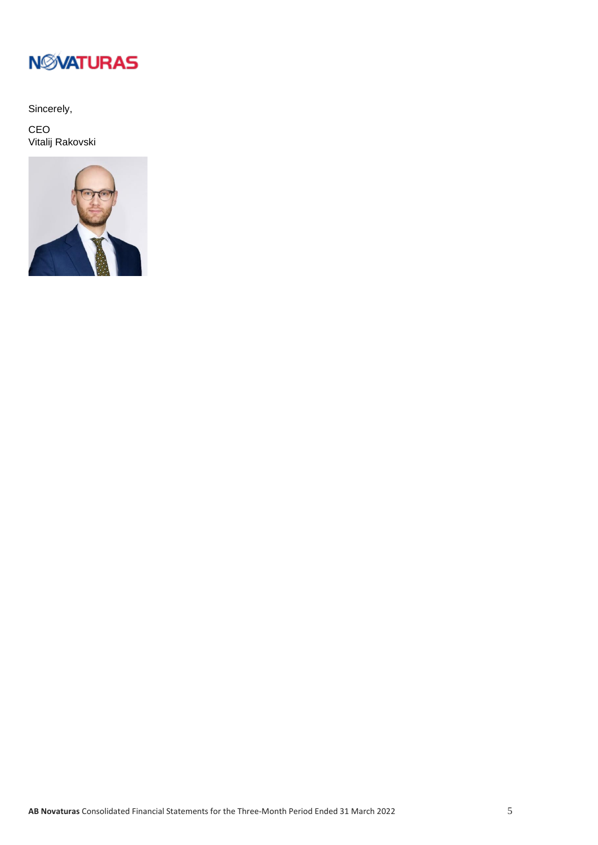

Sincerely,

CEO Vitalij Rakovski

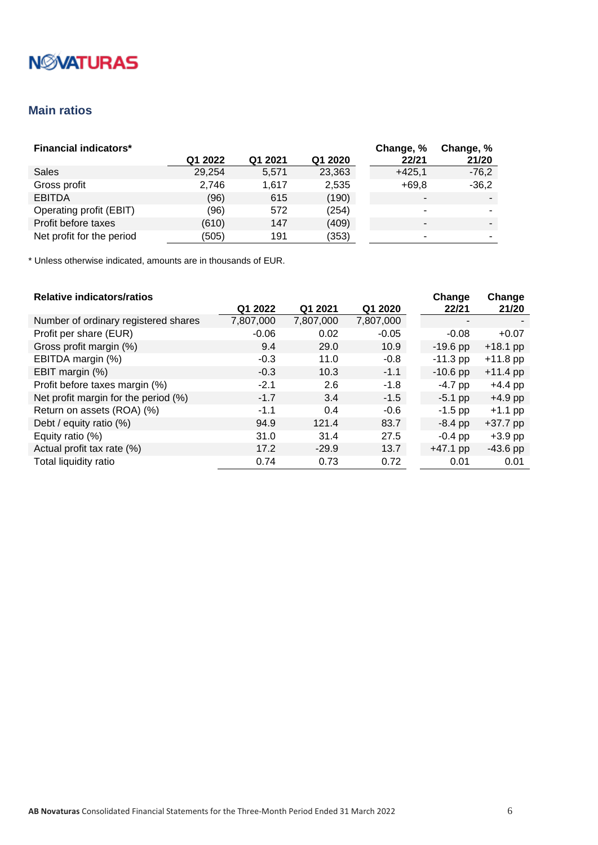# **N***NATURAS*

## <span id="page-5-0"></span>**Main ratios**

| <b>Financial indicators*</b> |         |         |         | Change, % | Change, % |
|------------------------------|---------|---------|---------|-----------|-----------|
|                              | Q1 2022 | Q1 2021 | Q1 2020 | 22/21     | 21/20     |
| Sales                        | 29.254  | 5,571   | 23,363  | $+425.1$  | $-76,2$   |
| Gross profit                 | 2.746   | 1.617   | 2,535   | $+69.8$   | $-36,2$   |
| <b>EBITDA</b>                | (96)    | 615     | (190)   |           |           |
| Operating profit (EBIT)      | (96)    | 572     | (254)   |           |           |
| Profit before taxes          | (610)   | 147     | (409)   |           | $\sim$    |
| Net profit for the period    | (505)   | 191     | (353)   |           | ۰.        |

\* Unless otherwise indicated, amounts are in thousands of EUR.

### **Relative indicators/ratios**

| <b>Relative indicators/ratios</b>    |           |           |           | Change     | Change     |
|--------------------------------------|-----------|-----------|-----------|------------|------------|
|                                      | Q1 2022   | Q1 2021   | Q1 2020   | 22/21      | 21/20      |
| Number of ordinary registered shares | 7,807,000 | 7,807,000 | 7,807,000 |            |            |
| Profit per share (EUR)               | $-0.06$   | 0.02      | $-0.05$   | $-0.08$    | $+0.07$    |
| Gross profit margin (%)              | 9.4       | 29.0      | 10.9      | $-19.6$ pp | $+18.1$ pp |
| EBITDA margin (%)                    | $-0.3$    | 11.0      | $-0.8$    | $-11.3$ pp | $+11.8$ pp |
| EBIT margin (%)                      | $-0.3$    | 10.3      | $-1.1$    | $-10.6$ pp | $+11.4$ pp |
| Profit before taxes margin (%)       | $-2.1$    | 2.6       | $-1.8$    | $-4.7$ pp  | $+4.4$ pp  |
| Net profit margin for the period (%) | $-1.7$    | 3.4       | $-1.5$    | $-5.1$ pp  | $+4.9$ pp  |
| Return on assets (ROA) (%)           | $-1.1$    | 0.4       | $-0.6$    | $-1.5$ pp  | $+1.1$ pp  |
| Debt / equity ratio (%)              | 94.9      | 121.4     | 83.7      | $-8.4$ pp  | $+37.7$ pp |
| Equity ratio (%)                     | 31.0      | 31.4      | 27.5      | $-0.4$ pp  | $+3.9$ pp  |
| Actual profit tax rate (%)           | 17.2      | $-29.9$   | 13.7      | $+47.1$ pp | $-43.6$ pp |
| Total liquidity ratio                | 0.74      | 0.73      | 0.72      | 0.01       | 0.01       |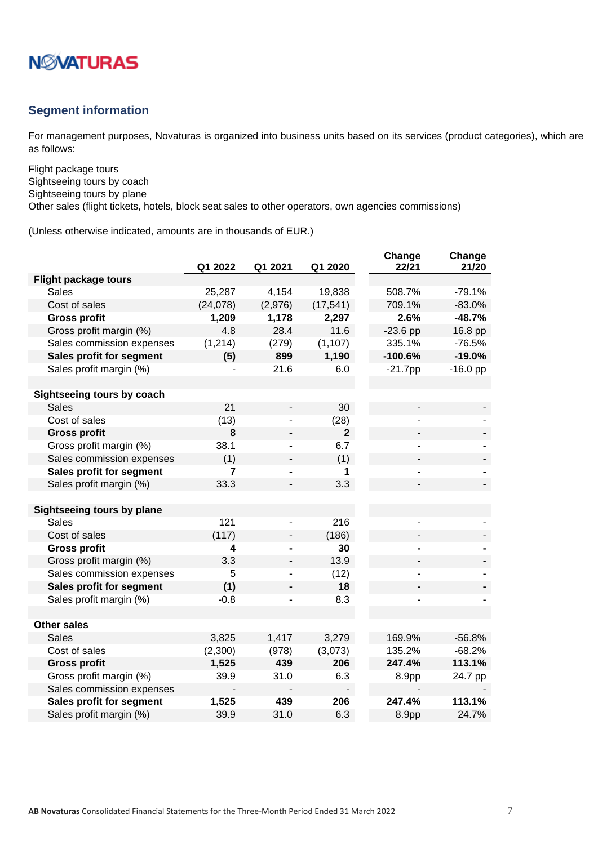

### <span id="page-6-0"></span>**Segment information**

For management purposes, Novaturas is organized into business units based on its services (product categories), which are as follows:

Flight package tours Sightseeing tours by coach Sightseeing tours by plane

Other sales (flight tickets, hotels, block seat sales to other operators, own agencies commissions)

|                                   | Q1 2022  | Q1 2021                  | Q1 2020      | Change<br>22/21 | Change<br>21/20 |
|-----------------------------------|----------|--------------------------|--------------|-----------------|-----------------|
| <b>Flight package tours</b>       |          |                          |              |                 |                 |
| <b>Sales</b>                      | 25,287   | 4,154                    | 19,838       | 508.7%          | $-79.1%$        |
| Cost of sales                     | (24,078) | (2,976)                  | (17, 541)    | 709.1%          | $-83.0%$        |
| <b>Gross profit</b>               | 1,209    | 1,178                    | 2,297        | 2.6%            | $-48.7%$        |
| Gross profit margin (%)           | 4.8      | 28.4                     | 11.6         | $-23.6$ pp      | 16.8 pp         |
| Sales commission expenses         | (1, 214) | (279)                    | (1, 107)     | 335.1%          | $-76.5%$        |
| Sales profit for segment          | (5)      | 899                      | 1,190        | $-100.6%$       | $-19.0%$        |
| Sales profit margin (%)           |          | 21.6                     | 6.0          | $-21.7$ pp      | $-16.0$ pp      |
|                                   |          |                          |              |                 |                 |
| Sightseeing tours by coach        |          |                          |              |                 |                 |
| <b>Sales</b>                      | 21       | $\overline{\phantom{0}}$ | 30           |                 |                 |
| Cost of sales                     | (13)     |                          | (28)         |                 |                 |
| <b>Gross profit</b>               | 8        |                          | $\mathbf{2}$ |                 |                 |
| Gross profit margin (%)           | 38.1     |                          | 6.7          |                 |                 |
| Sales commission expenses         | (1)      |                          | (1)          |                 |                 |
| Sales profit for segment          | 7        |                          | 1            |                 |                 |
| Sales profit margin (%)           | 33.3     |                          | 3.3          |                 |                 |
|                                   |          |                          |              |                 |                 |
| <b>Sightseeing tours by plane</b> |          |                          |              |                 |                 |
| <b>Sales</b>                      | 121      |                          | 216          |                 |                 |
| Cost of sales                     | (117)    |                          | (186)        |                 |                 |
| <b>Gross profit</b>               | 4        |                          | 30           |                 |                 |
| Gross profit margin (%)           | 3.3      |                          | 13.9         |                 |                 |
| Sales commission expenses         | 5        |                          | (12)         |                 |                 |
| Sales profit for segment          | (1)      |                          | 18           |                 |                 |
| Sales profit margin (%)           | $-0.8$   |                          | 8.3          |                 |                 |
|                                   |          |                          |              |                 |                 |
| <b>Other sales</b>                |          |                          |              |                 |                 |
| <b>Sales</b>                      | 3,825    | 1,417                    | 3,279        | 169.9%          | $-56.8%$        |
| Cost of sales                     | (2,300)  | (978)                    | (3,073)      | 135.2%          | $-68.2%$        |
| <b>Gross profit</b>               | 1,525    | 439                      | 206          | 247.4%          | 113.1%          |
| Gross profit margin (%)           | 39.9     | 31.0                     | 6.3          | 8.9pp           | 24.7 pp         |
| Sales commission expenses         |          |                          |              |                 |                 |
| Sales profit for segment          | 1,525    | 439                      | 206          | 247.4%          | 113.1%          |
| Sales profit margin (%)           | 39.9     | 31.0                     | 6.3          | 8.9pp           | 24.7%           |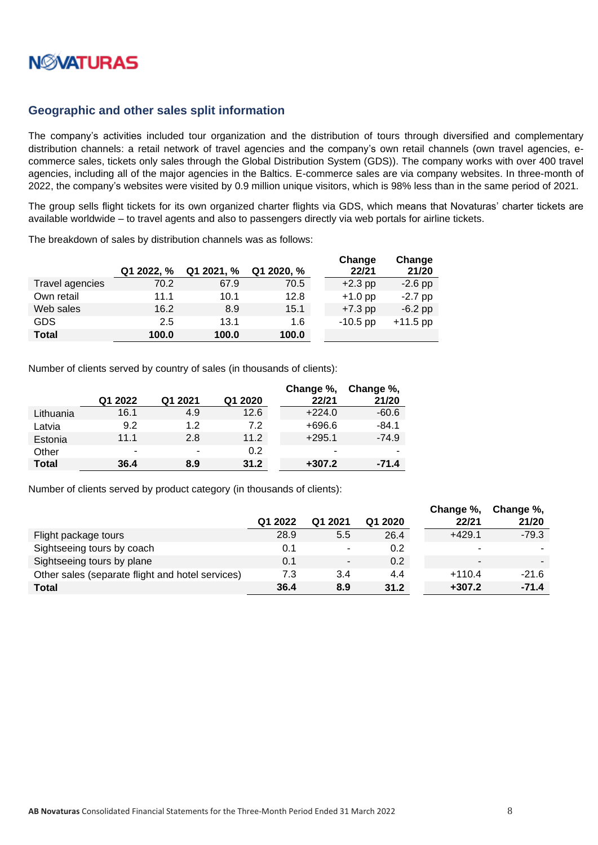

### <span id="page-7-0"></span>**Geographic and other sales split information**

The company's activities included tour organization and the distribution of tours through diversified and complementary distribution channels: a retail network of travel agencies and the company's own retail channels (own travel agencies, ecommerce sales, tickets only sales through the Global Distribution System (GDS)). The company works with over 400 travel agencies, including all of the major agencies in the Baltics. E-commerce sales are via company websites. In three-month of 2022, the company's websites were visited by 0.9 million unique visitors, which is 98% less than in the same period of 2021.

The group sells flight tickets for its own organized charter flights via GDS, which means that Novaturas' charter tickets are available worldwide – to travel agents and also to passengers directly via web portals for airline tickets.

The breakdown of sales by distribution channels was as follows:

|                 |            |            |            | Change     | Change     |
|-----------------|------------|------------|------------|------------|------------|
|                 | Q1 2022, % | Q1 2021, % | Q1 2020, % | 22/21      | 21/20      |
| Travel agencies | 70.2       | 67.9       | 70.5       | $+2.3$ pp  | $-2.6$ pp  |
| Own retail      | 11.1       | 10.1       | 12.8       | $+1.0$ pp  | $-2.7$ pp  |
| Web sales       | 16.2       | 8.9        | 15.1       | $+7.3$ pp  | $-6.2$ pp  |
| GDS             | 2.5        | 13.1       | 1.6        | $-10.5$ pp | $+11.5$ pp |
| <b>Total</b>    | 100.0      | 100.0      | 100.0      |            |            |

Number of clients served by country of sales (in thousands of clients):

|              |         |         |         | Change %, | Change %, |
|--------------|---------|---------|---------|-----------|-----------|
|              | Q1 2022 | Q1 2021 | Q1 2020 | 22/21     | 21/20     |
| Lithuania    | 16.1    | 4.9     | 12.6    | $+224.0$  | $-60.6$   |
| Latvia       | 9.2     | 12      | 72      | $+696.6$  | $-84.1$   |
| Estonia      | 11.1    | 2.8     | 11.2    | $+295.1$  | $-74.9$   |
| Other        | -       | ٠       | 0.2     | -         |           |
| <b>Total</b> | 36.4    | 8.9     | 31.2    | $+307.2$  | $-71.4$   |

Number of clients served by product category (in thousands of clients):

|                                                  |         |         |         | Change %,                | Change %, |
|--------------------------------------------------|---------|---------|---------|--------------------------|-----------|
|                                                  | Q1 2022 | Q1 2021 | Q1 2020 | 22/21                    | 21/20     |
| Flight package tours                             | 28.9    | 5.5     | 26.4    | $+429.1$                 | $-79.3$   |
| Sightseeing tours by coach                       | 0.1     | ۰.      | 0.2     | ٠                        |           |
| Sightseeing tours by plane                       | 0.1     | $\sim$  | 0.2     | $\overline{\phantom{a}}$ |           |
| Other sales (separate flight and hotel services) | 7.3     | 3.4     | 4.4     | $+110.4$                 | $-21.6$   |
| <b>Total</b>                                     | 36.4    | 8.9     | 31.2    | $+307.2$                 | $-71.4$   |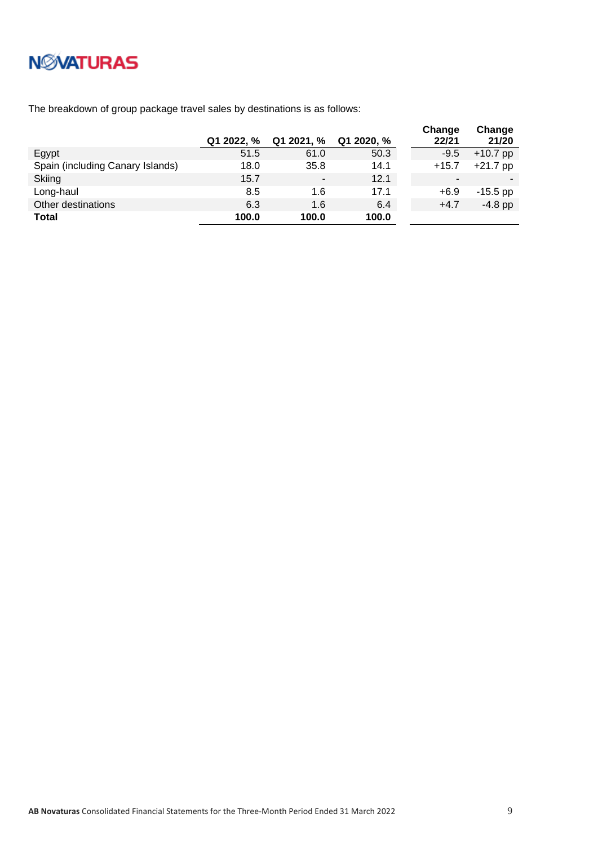

The breakdown of group package travel sales by destinations is as follows:

|                                  | Q1 2022, % | Q1 2021, %               | Q1 2020, % | Change<br>22/21 | Change<br>21/20 |
|----------------------------------|------------|--------------------------|------------|-----------------|-----------------|
| Egypt                            | 51.5       | 61.0                     | 50.3       | $-9.5$          | $+10.7$ pp      |
| Spain (including Canary Islands) | 18.0       | 35.8                     | 14.1       | $+15.7$         | $+21.7$ pp      |
| Skiing                           | 15.7       | $\overline{\phantom{0}}$ | 12.1       | -               |                 |
| Long-haul                        | 8.5        | 1.6                      | 17.1       | $+6.9$          | $-15.5$ pp      |
| Other destinations               | 6.3        | 1.6                      | 6.4        | $+4.7$          | $-4.8$ pp       |
| <b>Total</b>                     | 100.0      | 100.0                    | 100.0      |                 |                 |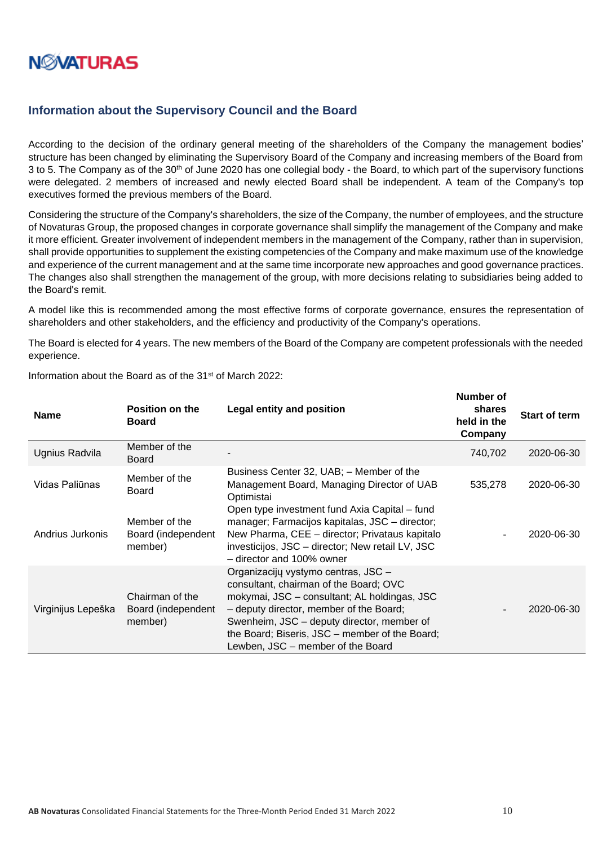

### <span id="page-9-0"></span>**Information about the Supervisory Council and the Board**

According to the decision of the ordinary general meeting of the shareholders of the Company the management bodies' structure has been changed by eliminating the Supervisory Board of the Company and increasing members of the Board from 3 to 5. The Company as of the 30<sup>th</sup> of June 2020 has one collegial body - the Board, to which part of the supervisory functions were delegated. 2 members of increased and newly elected Board shall be independent. A team of the Company's top executives formed the previous members of the Board.

Considering the structure of the Company's shareholders, the size of the Company, the number of employees, and the structure of Novaturas Group, the proposed changes in corporate governance shall simplify the management of the Company and make it more efficient. Greater involvement of independent members in the management of the Company, rather than in supervision, shall provide opportunities to supplement the existing competencies of the Company and make maximum use of the knowledge and experience of the current management and at the same time incorporate new approaches and good governance practices. The changes also shall strengthen the management of the group, with more decisions relating to subsidiaries being added to the Board's remit.

A model like this is recommended among the most effective forms of corporate governance, ensures the representation of shareholders and other stakeholders, and the efficiency and productivity of the Company's operations.

The Board is elected for 4 years. The new members of the Board of the Company are competent professionals with the needed experience.

| <b>Name</b>        | <b>Position on the</b><br>Board                  | <b>Legal entity and position</b>                                                                                                                                                                                                                                                                              | shares<br>held in the<br>Company | <b>Start of term</b> |
|--------------------|--------------------------------------------------|---------------------------------------------------------------------------------------------------------------------------------------------------------------------------------------------------------------------------------------------------------------------------------------------------------------|----------------------------------|----------------------|
| Ugnius Radvila     | Member of the<br><b>Board</b>                    |                                                                                                                                                                                                                                                                                                               | 740,702                          | 2020-06-30           |
| Vidas Paliūnas     | Member of the<br><b>Board</b>                    | Business Center 32, UAB; - Member of the<br>Management Board, Managing Director of UAB<br>Optimistai<br>Open type investment fund Axia Capital – fund                                                                                                                                                         | 535,278                          | 2020-06-30           |
| Andrius Jurkonis   | Member of the<br>Board (independent<br>member)   | manager; Farmacijos kapitalas, JSC - director;<br>New Pharma, CEE - director; Privataus kapitalo<br>investicijos, JSC - director; New retail LV, JSC<br>- director and 100% owner                                                                                                                             |                                  | 2020-06-30           |
| Virginijus Lepeška | Chairman of the<br>Board (independent<br>member) | Organizacijų vystymo centras, JSC -<br>consultant, chairman of the Board; OVC<br>mokymai, JSC – consultant; AL holdingas, JSC<br>- deputy director, member of the Board;<br>Swenheim, JSC – deputy director, member of<br>the Board; Biseris, JSC – member of the Board;<br>Lewben, JSC – member of the Board |                                  | 2020-06-30           |

Information about the Board as of the 31st of March 2022:

**Number of**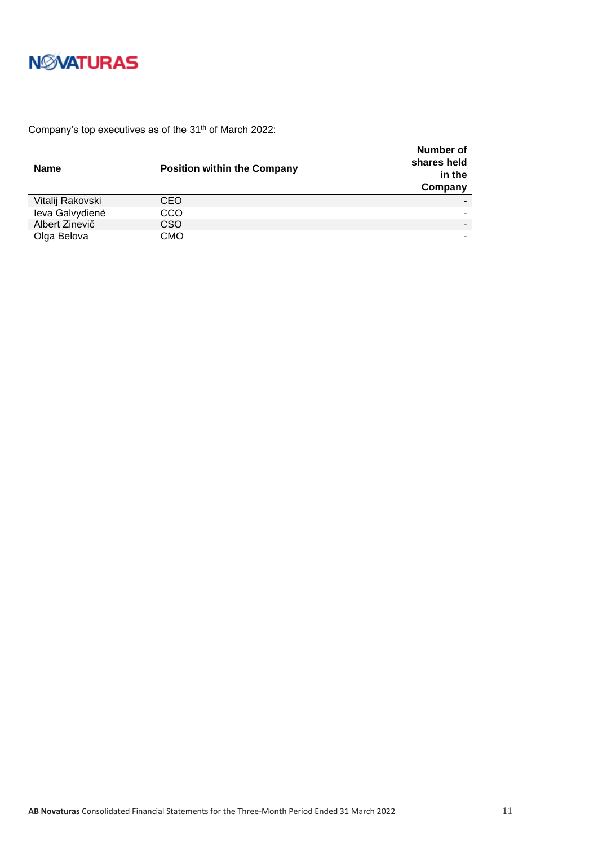

Company's top executives as of the 31<sup>th</sup> of March 2022:

| <b>Name</b>      | <b>Position within the Company</b> | Number of<br>shares held<br>in the<br>Company |
|------------------|------------------------------------|-----------------------------------------------|
| Vitalij Rakovski | CEO                                |                                               |
| leva Galvydienė  | CCO                                |                                               |
| Albert Zinevič   | CSO                                |                                               |
| Olga Belova      | СМО                                |                                               |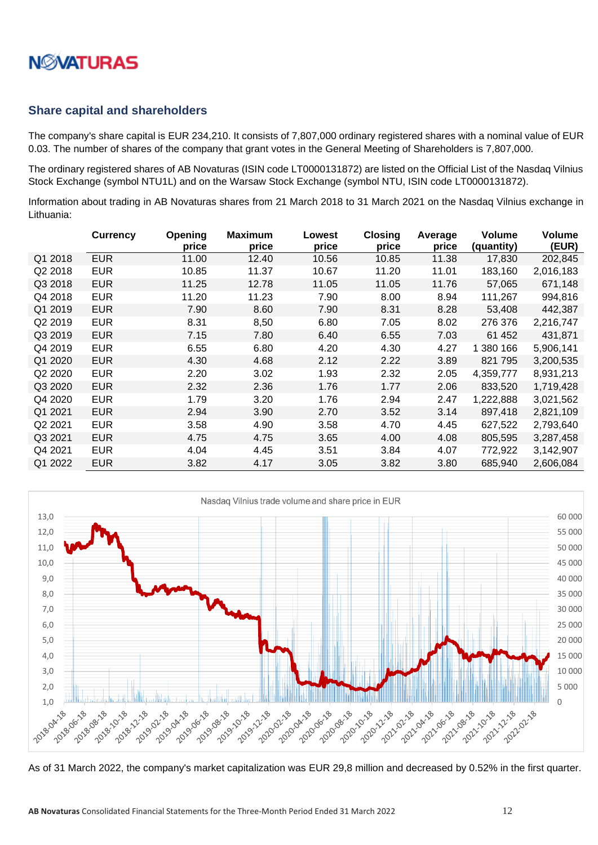

### <span id="page-11-0"></span>**Share capital and shareholders**

The company's share capital is EUR 234,210. It consists of 7,807,000 ordinary registered shares with a nominal value of EUR 0.03. The number of shares of the company that grant votes in the General Meeting of Shareholders is 7,807,000.

The ordinary registered shares of AB Novaturas (ISIN code LT0000131872) are listed on the Official List of the Nasdaq Vilnius Stock Exchange (symbol NTU1L) and on the Warsaw Stock Exchange (symbol NTU, ISIN code LT0000131872).

Information about trading in AB Novaturas shares from 21 March 2018 to 31 March 2021 on the Nasdaq Vilnius exchange in Lithuania:

|         | <b>Currency</b> | <b>Opening</b><br>price | <b>Maximum</b><br>price | Lowest<br>price | <b>Closing</b><br>price | Average<br>price | <b>Volume</b><br>(quantity) | <b>Volume</b><br>(EUR) |
|---------|-----------------|-------------------------|-------------------------|-----------------|-------------------------|------------------|-----------------------------|------------------------|
| Q1 2018 | <b>EUR</b>      | 11.00                   | 12.40                   | 10.56           | 10.85                   | 11.38            | 17,830                      | 202,845                |
| Q2 2018 | <b>EUR</b>      | 10.85                   | 11.37                   | 10.67           | 11.20                   | 11.01            | 183,160                     | 2,016,183              |
| Q3 2018 | <b>EUR</b>      | 11.25                   | 12.78                   | 11.05           | 11.05                   | 11.76            | 57,065                      | 671,148                |
| Q4 2018 | <b>EUR</b>      | 11.20                   | 11.23                   | 7.90            | 8.00                    | 8.94             | 111,267                     | 994,816                |
| Q1 2019 | <b>EUR</b>      | 7.90                    | 8.60                    | 7.90            | 8.31                    | 8.28             | 53,408                      | 442,387                |
| Q2 2019 | <b>EUR</b>      | 8.31                    | 8,50                    | 6.80            | 7.05                    | 8.02             | 276 376                     | 2,216,747              |
| Q3 2019 | <b>EUR</b>      | 7.15                    | 7.80                    | 6.40            | 6.55                    | 7.03             | 61 452                      | 431,871                |
| Q4 2019 | <b>EUR</b>      | 6.55                    | 6.80                    | 4.20            | 4.30                    | 4.27             | 1 380 166                   | 5,906,141              |
| Q1 2020 | <b>EUR</b>      | 4.30                    | 4.68                    | 2.12            | 2.22                    | 3.89             | 821 795                     | 3,200,535              |
| Q2 2020 | <b>EUR</b>      | 2.20                    | 3.02                    | 1.93            | 2.32                    | 2.05             | 4,359,777                   | 8,931,213              |
| Q3 2020 | <b>EUR</b>      | 2.32                    | 2.36                    | 1.76            | 1.77                    | 2.06             | 833,520                     | 1,719,428              |
| Q4 2020 | <b>EUR</b>      | 1.79                    | 3.20                    | 1.76            | 2.94                    | 2.47             | 1,222,888                   | 3,021,562              |
| Q1 2021 | <b>EUR</b>      | 2.94                    | 3.90                    | 2.70            | 3.52                    | 3.14             | 897,418                     | 2,821,109              |
| Q2 2021 | <b>EUR</b>      | 3.58                    | 4.90                    | 3.58            | 4.70                    | 4.45             | 627,522                     | 2,793,640              |
| Q3 2021 | <b>EUR</b>      | 4.75                    | 4.75                    | 3.65            | 4.00                    | 4.08             | 805,595                     | 3,287,458              |
| Q4 2021 | EUR             | 4.04                    | 4.45                    | 3.51            | 3.84                    | 4.07             | 772,922                     | 3,142,907              |
| Q1 2022 | <b>EUR</b>      | 3.82                    | 4.17                    | 3.05            | 3.82                    | 3.80             | 685.940                     | 2,606,084              |



As of 31 March 2022, the company's market capitalization was EUR 29,8 million and decreased by 0.52% in the first quarter.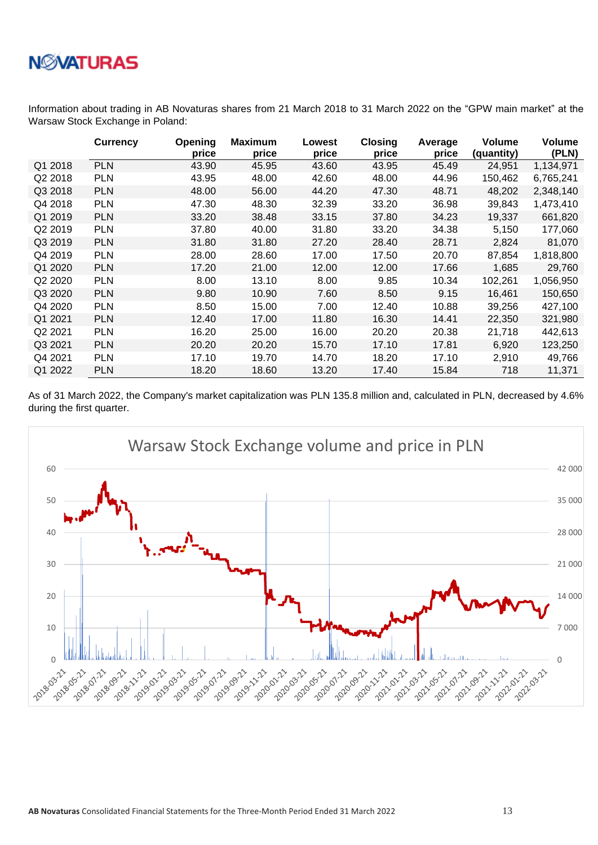

Information about trading in AB Novaturas shares from 21 March 2018 to 31 March 2022 on the "GPW main market" at the Warsaw Stock Exchange in Poland:

|         | <b>Currency</b> | Opening<br>price | <b>Maximum</b><br>price | Lowest<br>price | <b>Closing</b><br>price | Average<br>price | <b>Volume</b><br>(quantity) | Volume<br>(PLN) |
|---------|-----------------|------------------|-------------------------|-----------------|-------------------------|------------------|-----------------------------|-----------------|
| Q1 2018 | <b>PLN</b>      | 43.90            | 45.95                   | 43.60           | 43.95                   | 45.49            | 24,951                      | 1,134,971       |
| Q2 2018 | <b>PLN</b>      | 43.95            | 48.00                   | 42.60           | 48.00                   | 44.96            | 150,462                     | 6,765,241       |
| Q3 2018 | <b>PLN</b>      | 48.00            | 56.00                   | 44.20           | 47.30                   | 48.71            | 48,202                      | 2,348,140       |
| Q4 2018 | <b>PLN</b>      | 47.30            | 48.30                   | 32.39           | 33.20                   | 36.98            | 39,843                      | 1,473,410       |
| Q1 2019 | <b>PLN</b>      | 33.20            | 38.48                   | 33.15           | 37.80                   | 34.23            | 19,337                      | 661,820         |
| Q2 2019 | <b>PLN</b>      | 37.80            | 40.00                   | 31.80           | 33.20                   | 34.38            | 5,150                       | 177,060         |
| Q3 2019 | <b>PLN</b>      | 31.80            | 31.80                   | 27.20           | 28.40                   | 28.71            | 2,824                       | 81,070          |
| Q4 2019 | <b>PLN</b>      | 28.00            | 28.60                   | 17.00           | 17.50                   | 20.70            | 87,854                      | 1,818,800       |
| Q1 2020 | <b>PLN</b>      | 17.20            | 21.00                   | 12.00           | 12.00                   | 17.66            | 1,685                       | 29,760          |
| Q2 2020 | <b>PLN</b>      | 8.00             | 13.10                   | 8.00            | 9.85                    | 10.34            | 102,261                     | 1,056,950       |
| Q3 2020 | <b>PLN</b>      | 9.80             | 10.90                   | 7.60            | 8.50                    | 9.15             | 16,461                      | 150,650         |
| Q4 2020 | <b>PLN</b>      | 8.50             | 15.00                   | 7.00            | 12.40                   | 10.88            | 39,256                      | 427,100         |
| Q1 2021 | <b>PLN</b>      | 12.40            | 17.00                   | 11.80           | 16.30                   | 14.41            | 22,350                      | 321,980         |
| Q2 2021 | <b>PLN</b>      | 16.20            | 25.00                   | 16.00           | 20.20                   | 20.38            | 21,718                      | 442,613         |
| Q3 2021 | <b>PLN</b>      | 20.20            | 20.20                   | 15.70           | 17.10                   | 17.81            | 6,920                       | 123,250         |
| Q4 2021 | <b>PLN</b>      | 17.10            | 19.70                   | 14.70           | 18.20                   | 17.10            | 2,910                       | 49,766          |
| Q1 2022 | <b>PLN</b>      | 18.20            | 18.60                   | 13.20           | 17.40                   | 15.84            | 718                         | 11,371          |

As of 31 March 2022, the Company's market capitalization was PLN 135.8 million and, calculated in PLN, decreased by 4.6% during the first quarter.

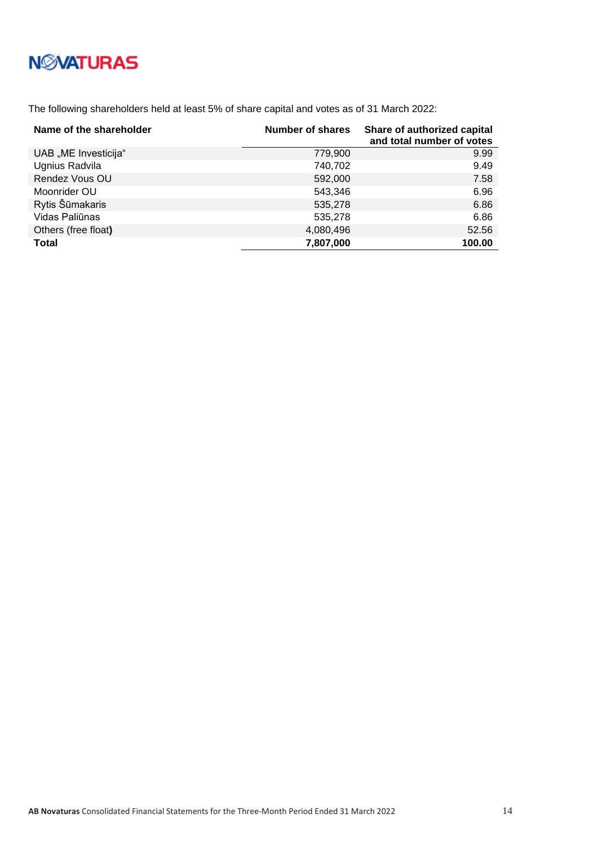# **N***N***XATURAS**

The following shareholders held at least 5% of share capital and votes as of 31 March 2022:

| Name of the shareholder | Number of shares | Share of authorized capital<br>and total number of votes |
|-------------------------|------------------|----------------------------------------------------------|
| UAB "ME Investicija"    | 779,900          | 9.99                                                     |
| Ugnius Radvila          | 740,702          | 9.49                                                     |
| Rendez Vous OU          | 592,000          | 7.58                                                     |
| Moonrider OU            | 543,346          | 6.96                                                     |
| Rytis Šūmakaris         | 535,278          | 6.86                                                     |
| Vidas Paliūnas          | 535,278          | 6.86                                                     |
| Others (free float)     | 4,080,496        | 52.56                                                    |
| <b>Total</b>            | 7,807,000        | 100.00                                                   |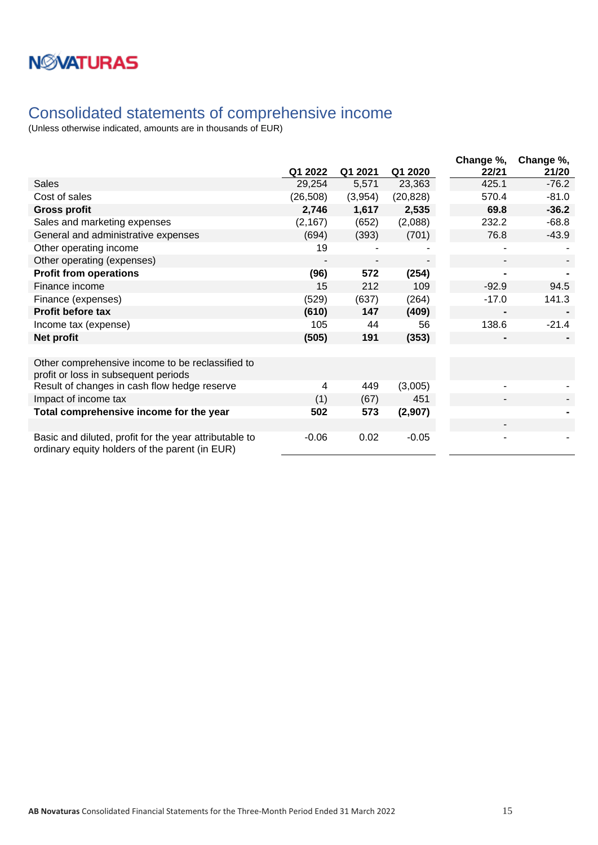## <span id="page-14-0"></span>Consolidated statements of comprehensive income

|                                                                                                          |           |         |           | Change %, | Change %, |
|----------------------------------------------------------------------------------------------------------|-----------|---------|-----------|-----------|-----------|
|                                                                                                          | Q1 2022   | Q1 2021 | Q1 2020   | 22/21     | 21/20     |
| <b>Sales</b>                                                                                             | 29,254    | 5,571   | 23,363    | 425.1     | $-76.2$   |
| Cost of sales                                                                                            | (26, 508) | (3,954) | (20, 828) | 570.4     | $-81.0$   |
| <b>Gross profit</b>                                                                                      | 2,746     | 1,617   | 2,535     | 69.8      | $-36.2$   |
| Sales and marketing expenses                                                                             | (2, 167)  | (652)   | (2,088)   | 232.2     | $-68.8$   |
| General and administrative expenses                                                                      | (694)     | (393)   | (701)     | 76.8      | $-43.9$   |
| Other operating income                                                                                   | 19        |         |           |           |           |
| Other operating (expenses)                                                                               |           |         |           |           |           |
| <b>Profit from operations</b>                                                                            | (96)      | 572     | (254)     |           |           |
| Finance income                                                                                           | 15        | 212     | 109       | $-92.9$   | 94.5      |
| Finance (expenses)                                                                                       | (529)     | (637)   | (264)     | $-17.0$   | 141.3     |
| <b>Profit before tax</b>                                                                                 | (610)     | 147     | (409)     |           |           |
| Income tax (expense)                                                                                     | 105       | 44      | 56        | 138.6     | $-21.4$   |
| Net profit                                                                                               | (505)     | 191     | (353)     |           |           |
|                                                                                                          |           |         |           |           |           |
| Other comprehensive income to be reclassified to<br>profit or loss in subsequent periods                 |           |         |           |           |           |
| Result of changes in cash flow hedge reserve                                                             | 4         | 449     | (3,005)   |           |           |
| Impact of income tax                                                                                     | (1)       | (67)    | 451       |           |           |
| Total comprehensive income for the year                                                                  | 502       | 573     | (2,907)   |           |           |
|                                                                                                          |           |         |           |           |           |
| Basic and diluted, profit for the year attributable to<br>ordinary equity holders of the parent (in EUR) | $-0.06$   | 0.02    | $-0.05$   |           |           |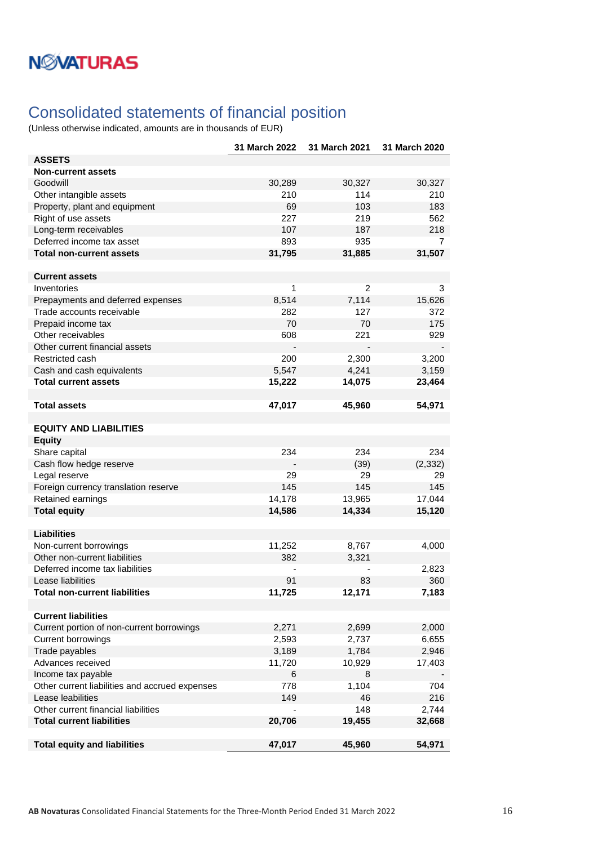## <span id="page-15-0"></span>Consolidated statements of financial position

|                                                | 31 March 2022 | 31 March 2021  | 31 March 2020  |
|------------------------------------------------|---------------|----------------|----------------|
| <b>ASSETS</b>                                  |               |                |                |
| <b>Non-current assets</b>                      |               |                |                |
| Goodwill                                       | 30,289        | 30,327         | 30,327         |
| Other intangible assets                        | 210           | 114            | 210            |
| Property, plant and equipment                  | 69            | 103            | 183            |
| Right of use assets                            | 227           | 219            | 562            |
| Long-term receivables                          | 107           | 187            | 218            |
| Deferred income tax asset                      | 893           | 935            | $\overline{7}$ |
| <b>Total non-current assets</b>                | 31,795        | 31,885         | 31,507         |
|                                                |               |                |                |
| <b>Current assets</b>                          |               |                |                |
| Inventories                                    | 1             | $\overline{c}$ | 3              |
| Prepayments and deferred expenses              | 8,514         | 7,114          | 15,626         |
| Trade accounts receivable                      | 282           | 127            | 372            |
| Prepaid income tax                             | 70            | 70             | 175            |
| Other receivables                              | 608           | 221            | 929            |
| Other current financial assets                 |               |                |                |
| Restricted cash                                | 200           | 2,300          | 3,200          |
| Cash and cash equivalents                      | 5,547         | 4,241          | 3,159          |
| <b>Total current assets</b>                    | 15,222        | 14,075         | 23,464         |
|                                                |               |                |                |
| <b>Total assets</b>                            | 47,017        | 45,960         | 54,971         |
| <b>EQUITY AND LIABILITIES</b>                  |               |                |                |
|                                                |               |                |                |
| <b>Equity</b>                                  |               |                |                |
| Share capital                                  | 234           | 234            | 234            |
| Cash flow hedge reserve                        |               | (39)           | (2, 332)       |
| Legal reserve                                  | 29            | 29             | 29             |
| Foreign currency translation reserve           | 145           | 145            | 145            |
| Retained earnings                              | 14,178        | 13,965         | 17,044         |
| <b>Total equity</b>                            | 14,586        | 14,334         | 15,120         |
| <b>Liabilities</b>                             |               |                |                |
| Non-current borrowings                         | 11,252        | 8,767          | 4,000          |
| Other non-current liabilities                  | 382           | 3,321          |                |
| Deferred income tax liabilities                |               |                | 2,823          |
| Lease liabilities                              | 91            | 83             | 360            |
| Total non-current liabilities                  | 11,725        | 12,171         | 7,183          |
|                                                |               |                |                |
| <b>Current liabilities</b>                     |               |                |                |
| Current portion of non-current borrowings      | 2,271         | 2,699          | 2,000          |
| <b>Current borrowings</b>                      | 2,593         | 2,737          | 6,655          |
| Trade payables                                 | 3,189         | 1,784          | 2,946          |
| Advances received                              | 11,720        | 10,929         | 17,403         |
| Income tax payable                             | 6             | 8              |                |
| Other current liabilities and accrued expenses | 778           | 1,104          | 704            |
| Lease leabilities                              | 149           | 46             | 216            |
| Other current financial liabilities            |               | 148            | 2,744          |
| <b>Total current liabilities</b>               | 20,706        | 19,455         | 32,668         |
|                                                |               |                |                |
| <b>Total equity and liabilities</b>            | 47,017        | 45,960         | 54,971         |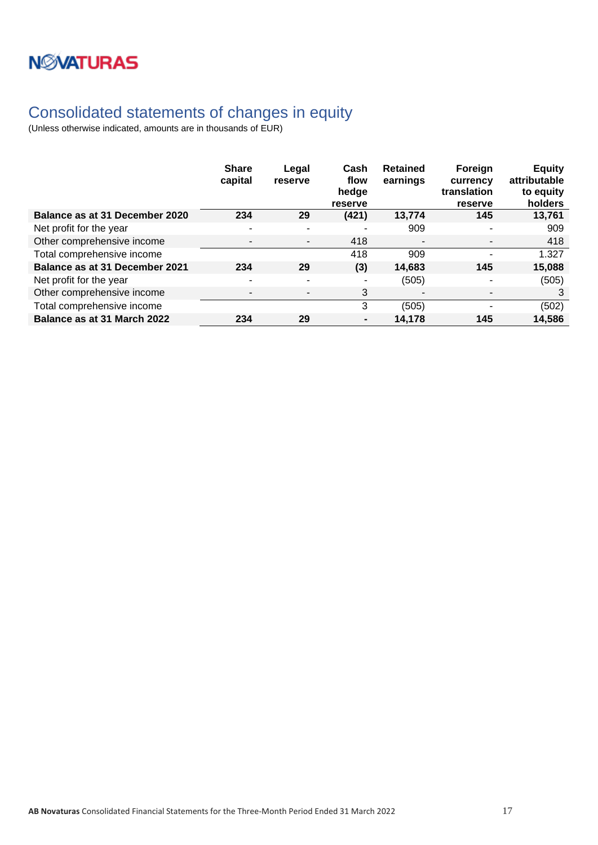

## <span id="page-16-0"></span>Consolidated statements of changes in equity

|                                       | <b>Share</b><br>capital  | Legal<br>reserve         | Cash<br>flow<br>hedge<br>reserve | <b>Retained</b><br>earnings | Foreign<br>currency<br>translation<br>reserve | <b>Equity</b><br>attributable<br>to equity<br>holders |
|---------------------------------------|--------------------------|--------------------------|----------------------------------|-----------------------------|-----------------------------------------------|-------------------------------------------------------|
| Balance as at 31 December 2020        | 234                      | 29                       | (421)                            | 13,774                      | 145                                           | 13,761                                                |
| Net profit for the year               | $\overline{\phantom{a}}$ | $\overline{\phantom{0}}$ | $\overline{\phantom{a}}$         | 909                         |                                               | 909                                                   |
| Other comprehensive income            |                          | $\blacksquare$           | 418                              | $\overline{\phantom{a}}$    |                                               | 418                                                   |
| Total comprehensive income            |                          |                          | 418                              | 909                         |                                               | 1.327                                                 |
| <b>Balance as at 31 December 2021</b> | 234                      | 29                       | (3)                              | 14.683                      | 145                                           | 15,088                                                |
| Net profit for the year               |                          |                          |                                  | (505)                       |                                               | (505)                                                 |
| Other comprehensive income            |                          | $\overline{\phantom{0}}$ | 3                                |                             |                                               | 3                                                     |
| Total comprehensive income            |                          |                          | 3                                | (505)                       |                                               | (502)                                                 |
| Balance as at 31 March 2022           | 234                      | 29                       |                                  | 14,178                      | 145                                           | 14,586                                                |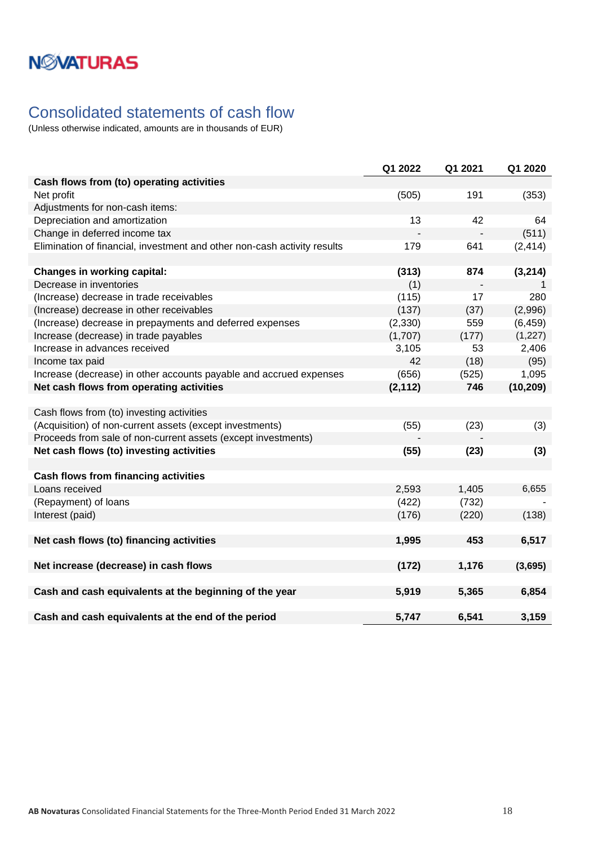## <span id="page-17-0"></span>Consolidated statements of cash flow

|                                                                          | Q1 2022  | Q1 2021 | Q1 2020   |
|--------------------------------------------------------------------------|----------|---------|-----------|
| Cash flows from (to) operating activities                                |          |         |           |
| Net profit                                                               | (505)    | 191     | (353)     |
| Adjustments for non-cash items:                                          |          |         |           |
| Depreciation and amortization                                            | 13       | 42      | 64        |
| Change in deferred income tax                                            |          |         | (511)     |
| Elimination of financial, investment and other non-cash activity results | 179      | 641     | (2, 414)  |
|                                                                          |          |         |           |
| <b>Changes in working capital:</b>                                       | (313)    | 874     | (3, 214)  |
| Decrease in inventories                                                  | (1)      |         | 1         |
| (Increase) decrease in trade receivables                                 | (115)    | 17      | 280       |
| (Increase) decrease in other receivables                                 | (137)    | (37)    | (2,996)   |
| (Increase) decrease in prepayments and deferred expenses                 | (2,330)  | 559     | (6, 459)  |
| Increase (decrease) in trade payables                                    | (1,707)  | (177)   | (1, 227)  |
| Increase in advances received                                            | 3,105    | 53      | 2,406     |
| Income tax paid                                                          | 42       | (18)    | (95)      |
| Increase (decrease) in other accounts payable and accrued expenses       | (656)    | (525)   | 1,095     |
| Net cash flows from operating activities                                 | (2, 112) | 746     | (10, 209) |
|                                                                          |          |         |           |
| Cash flows from (to) investing activities                                |          |         |           |
| (Acquisition) of non-current assets (except investments)                 | (55)     | (23)    | (3)       |
| Proceeds from sale of non-current assets (except investments)            |          |         |           |
| Net cash flows (to) investing activities                                 | (55)     | (23)    | (3)       |
|                                                                          |          |         |           |
| <b>Cash flows from financing activities</b>                              |          |         |           |
| Loans received                                                           | 2,593    | 1,405   | 6,655     |
| (Repayment) of loans                                                     | (422)    | (732)   |           |
| Interest (paid)                                                          | (176)    | (220)   | (138)     |
|                                                                          |          |         |           |
| Net cash flows (to) financing activities                                 | 1,995    | 453     | 6,517     |
|                                                                          |          |         |           |
| Net increase (decrease) in cash flows                                    | (172)    | 1,176   | (3,695)   |
|                                                                          |          |         |           |
| Cash and cash equivalents at the beginning of the year                   | 5,919    | 5,365   | 6,854     |
|                                                                          |          |         |           |
| Cash and cash equivalents at the end of the period                       | 5,747    | 6,541   | 3,159     |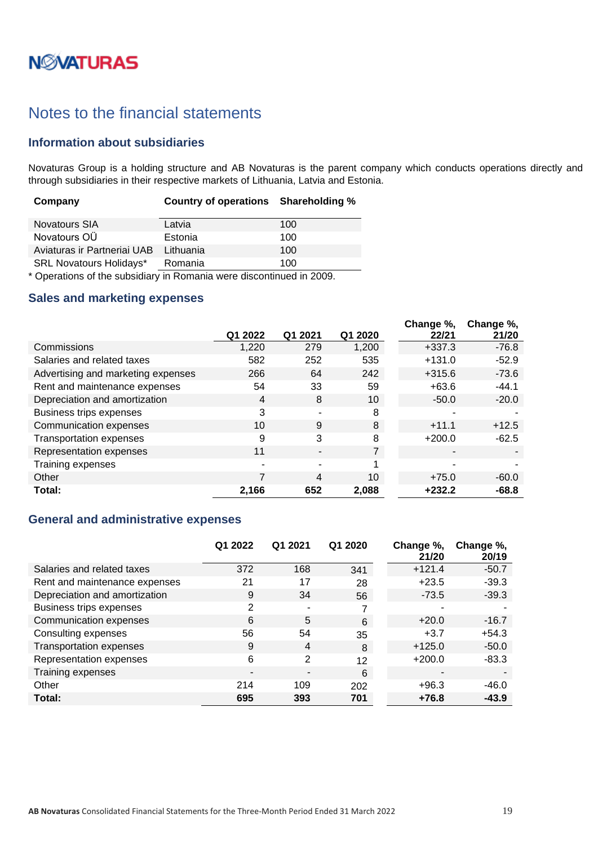# **NWATURAS**

## <span id="page-18-0"></span>Notes to the financial statements

### <span id="page-18-1"></span>**Information about subsidiaries**

Novaturas Group is a holding structure and AB Novaturas is the parent company which conducts operations directly and through subsidiaries in their respective markets of Lithuania, Latvia and Estonia.

| Company                        | Country of operations Shareholding % |     |
|--------------------------------|--------------------------------------|-----|
| <b>Novatours SIA</b>           | Latvia                               | 100 |
| Novatours OÜ                   | Estonia                              | 100 |
| Aviaturas ir Partneriai UAB    | Lithuania                            | 100 |
| <b>SRL Novatours Holidays*</b> | Romania                              | 100 |

\* Operations of the subsidiary in Romania were discontinued in 2009.

### <span id="page-18-2"></span>**Sales and marketing expenses**

|                                    | Q1 2022 | Q1 2021 | Q1 2020 | Change %,<br>22/21 | Change %,<br>21/20 |
|------------------------------------|---------|---------|---------|--------------------|--------------------|
| Commissions                        | 1,220   | 279     | 1,200   | $+337.3$           | $-76.8$            |
| Salaries and related taxes         | 582     | 252     | 535     | $+131.0$           | $-52.9$            |
| Advertising and marketing expenses | 266     | 64      | 242     | $+315.6$           | $-73.6$            |
| Rent and maintenance expenses      | 54      | 33      | 59      | $+63.6$            | $-44.1$            |
| Depreciation and amortization      | 4       | 8       | 10      | $-50.0$            | $-20.0$            |
| Business trips expenses            | 3       |         | 8       |                    |                    |
| Communication expenses             | 10      | 9       | 8       | $+11.1$            | $+12.5$            |
| <b>Transportation expenses</b>     | 9       | 3       | 8       | $+200.0$           | $-62.5$            |
| Representation expenses            | 11      |         | 7       |                    |                    |
| Training expenses                  | ۰       |         | и       | $\blacksquare$     |                    |
| Other                              |         | 4       | 10      | $+75.0$            | $-60.0$            |
| Total:                             | 2,166   | 652     | 2,088   | $+232.2$           | $-68.8$            |

### <span id="page-18-3"></span>**General and administrative expenses**

|                                | Q1 2022        | Q1 2021 | Q1 2020 | Change %,<br>21/20 | Change %,<br>20/19 |
|--------------------------------|----------------|---------|---------|--------------------|--------------------|
| Salaries and related taxes     | 372            | 168     | 341     | $+121.4$           | $-50.7$            |
| Rent and maintenance expenses  | 21             | 17      | 28      | $+23.5$            | $-39.3$            |
| Depreciation and amortization  | 9              | 34      | 56      | $-73.5$            | $-39.3$            |
| Business trips expenses        | 2              | ۰       | 7       |                    |                    |
| Communication expenses         | 6              | 5       | 6       | $+20.0$            | $-16.7$            |
| Consulting expenses            | 56             | 54      | 35      | $+3.7$             | $+54.3$            |
| <b>Transportation expenses</b> | 9              | 4       | 8       | $+125.0$           | $-50.0$            |
| Representation expenses        | 6              | 2       | 12      | $+200.0$           | $-83.3$            |
| Training expenses              | $\blacksquare$ |         | 6       |                    |                    |
| Other                          | 214            | 109     | 202     | $+96.3$            | $-46.0$            |
| Total:                         | 695            | 393     | 701     | $+76.8$            | $-43.9$            |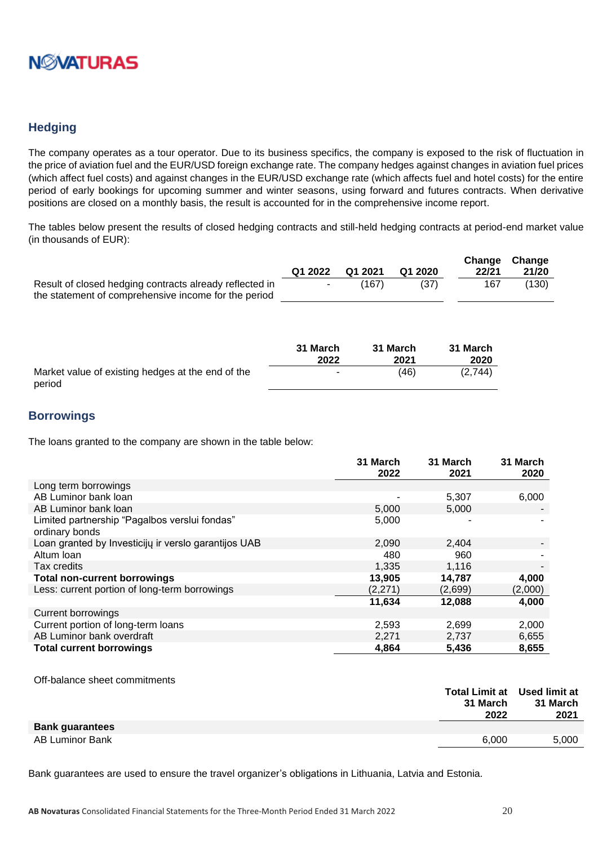

### <span id="page-19-0"></span>**Hedging**

The company operates as a tour operator. Due to its business specifics, the company is exposed to the risk of fluctuation in the price of aviation fuel and the EUR/USD foreign exchange rate. The company hedges against changes in aviation fuel prices (which affect fuel costs) and against changes in the EUR/USD exchange rate (which affects fuel and hotel costs) for the entire period of early bookings for upcoming summer and winter seasons, using forward and futures contracts. When derivative positions are closed on a monthly basis, the result is accounted for in the comprehensive income report.

The tables below present the results of closed hedging contracts and still-held hedging contracts at period-end market value (in thousands of EUR):

|                                                         | Q1 2022 | Q1 2021 | Q1 2020 | 22/21 | Change Change<br>21/20 |
|---------------------------------------------------------|---------|---------|---------|-------|------------------------|
| Result of closed hedging contracts already reflected in | $\sim$  | (167)   | (37)    | 167   | (130)                  |
| the statement of comprehensive income for the period    |         |         |         |       |                        |

|                                                             | 31 March | 31 March | 31 March |
|-------------------------------------------------------------|----------|----------|----------|
|                                                             | 2022     | 2021     | 2020     |
| Market value of existing hedges at the end of the<br>period |          | (46)     | (2,744)  |

### <span id="page-19-1"></span>**Borrowings**

The loans granted to the company are shown in the table below:

|                                                                 | 31 March<br>2022 | 31 March<br>2021 | 31 March<br>2020 |
|-----------------------------------------------------------------|------------------|------------------|------------------|
| Long term borrowings                                            |                  |                  |                  |
| AB Luminor bank loan                                            |                  | 5,307            | 6,000            |
| AB Luminor bank loan                                            | 5,000            | 5,000            |                  |
| Limited partnership "Pagalbos verslui fondas"<br>ordinary bonds | 5,000            |                  |                  |
| Loan granted by Investicijų ir verslo garantijos UAB            | 2,090            | 2,404            |                  |
| Altum Ioan                                                      | 480              | 960              |                  |
| Tax credits                                                     | 1,335            | 1,116            | $\blacksquare$   |
| <b>Total non-current borrowings</b>                             | 13,905           | 14,787           | 4,000            |
| Less: current portion of long-term borrowings                   | (2,271)          | (2,699)          | (2,000)          |
|                                                                 | 11,634           | 12,088           | 4,000            |
| <b>Current borrowings</b>                                       |                  |                  |                  |
| Current portion of long-term loans                              | 2,593            | 2,699            | 2,000            |
| AB Luminor bank overdraft                                       | 2,271            | 2,737            | 6,655            |
| <b>Total current borrowings</b>                                 | 4,864            | 5,436            | 8,655            |

#### Off-balance sheet commitments

|                        | Total Limit at Used limit at |          |
|------------------------|------------------------------|----------|
|                        | 31 March                     | 31 March |
|                        | 2022                         | 2021     |
| <b>Bank guarantees</b> |                              |          |
| AB Luminor Bank        | 6.000                        | 5,000    |
|                        |                              |          |

Bank guarantees are used to ensure the travel organizer's obligations in Lithuania, Latvia and Estonia.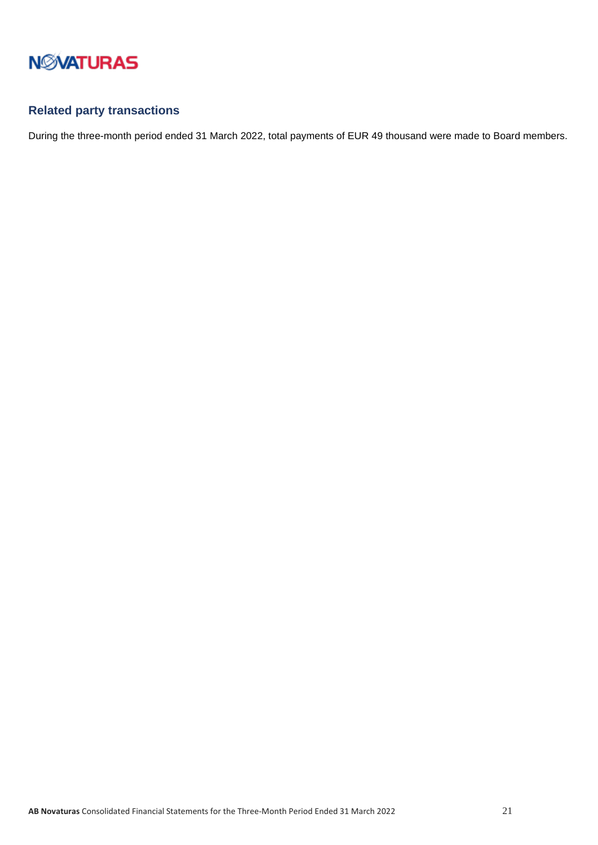

## <span id="page-20-0"></span>**Related party transactions**

During the three-month period ended 31 March 2022, total payments of EUR 49 thousand were made to Board members.